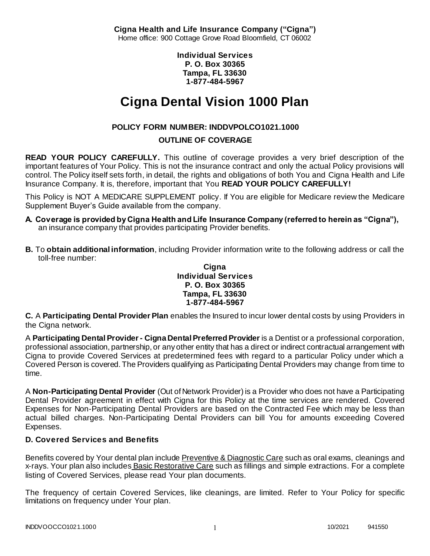**Cigna Health and Life Insurance Company ("Cigna")** Home office: 900 Cottage Grove Road Bloomfield, CT 06002

> **Individual Services P. O. Box 30365 Tampa, FL 33630 1-877-484-5967**

# **Cigna Dental Vision 1000 Plan**

# **POLICY FORM NUMBER: INDDVPOLCO1021.1000 OUTLINE OF COVERAGE**

**READ YOUR POLICY CAREFULLY.** This outline of coverage provides a very brief description of the important features of Your Policy. This is not the insurance contract and only the actual Policy provisions will control. The Policy itself sets forth, in detail, the rights and obligations of both You and Cigna Health and Life Insurance Company. It is, therefore, important that You **READ YOUR POLICY CAREFULLY!** 

This Policy is NOT A MEDICARE SUPPLEMENT policy. If You are eligible for Medicare review the Medicare Supplement Buyer's Guide available from the company.

- **A. Coverage is provided by Cigna Health and Life Insurance Company (referred to herein as "Cigna"),**  an insurance company that provides participating Provider benefits.
- **B.** To **obtain additional information**, including Provider information write to the following address or call the toll-free number:

**Cigna Individual Services P. O. Box 30365 Tampa, FL 33630 1-877-484-5967**

**C.** A **Participating Dental Provider Plan** enables the Insured to incur lower dental costs by using Providers in the Cigna network.

A **Participating Dental Provider - Cigna Dental Preferred Provider** is a Dentist or a professional corporation, professional association, partnership, or any other entity that has a direct or indirect contractual arrangement with Cigna to provide Covered Services at predetermined fees with regard to a particular Policy under which a Covered Person is covered. The Providers qualifying as Participating Dental Providers may change from time to time.

A **Non-Participating Dental Provider** (Out of Network Provider) is a Provider who does not have a Participating Dental Provider agreement in effect with Cigna for this Policy at the time services are rendered. Covered Expenses for Non-Participating Dental Providers are based on the Contracted Fee which may be less than actual billed charges. Non-Participating Dental Providers can bill You for amounts exceeding Covered Expenses.

## **D. Covered Services and Benefits**

Benefits covered by Your dental plan include Preventive & Diagnostic Care such as oral exams, cleanings and x-rays. Your plan also includes **Basic Restorative Care** such as fillings and simple extractions. For a complete listing of Covered Services, please read Your plan documents.

The frequency of certain Covered Services, like cleanings, are limited. Refer to Your Policy for specific limitations on frequency under Your plan.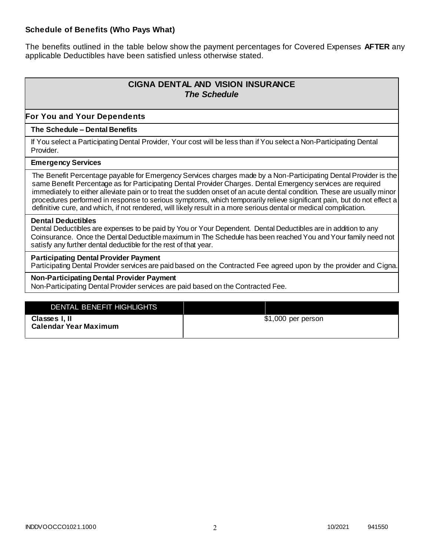### **Schedule of Benefits (Who Pays What)**

The benefits outlined in the table below show the payment percentages for Covered Expenses **AFTER** any applicable Deductibles have been satisfied unless otherwise stated.

# **CIGNA DENTAL AND VISION INSURANCE** *The Schedule*

### **For You and Your Dependents**

#### **The Schedule – Dental Benefits**

If You select a Participating Dental Provider, Your cost will be less than if You select a Non-Participating Dental Provider.

#### **Emergency Services**

The Benefit Percentage payable for Emergency Services charges made by a Non-Participating Dental Provider is the same Benefit Percentage as for Participating Dental Provider Charges. Dental Emergency services are required immediately to either alleviate pain or to treat the sudden onset of an acute dental condition. These are usually minor procedures performed in response to serious symptoms, which temporarily relieve significant pain, but do not effect a definitive cure, and which, if not rendered, will likely result in a more serious dental or medical complication.

#### **Dental Deductibles**

Dental Deductibles are expenses to be paid by You or Your Dependent. Dental Deductibles are in addition to any Coinsurance. Once the Dental Deductible maximum in The Schedule has been reached You and Your family need not satisfy any further dental deductible for the rest of that year.

#### **Participating Dental Provider Payment**

Participating Dental Provider services are paid based on the Contracted Fee agreed upon by the provider and Cigna.

### **Non-Participating Dental Provider Payment**

Non-Participating Dental Provider services are paid based on the Contracted Fee.

| DENTAL BENEFIT HIGHLIGHTS                     |                     |
|-----------------------------------------------|---------------------|
| Classes I, II<br><b>Calendar Year Maximum</b> | $$1,000$ per person |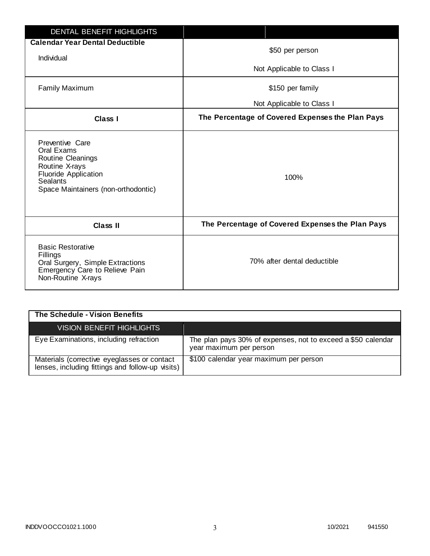| DENTAL BENEFIT HIGHLIGHTS                                                                                                                                     |                                                  |
|---------------------------------------------------------------------------------------------------------------------------------------------------------------|--------------------------------------------------|
| <b>Calendar Year Dental Deductible</b>                                                                                                                        | \$50 per person                                  |
| Individual                                                                                                                                                    |                                                  |
|                                                                                                                                                               | Not Applicable to Class I                        |
| <b>Family Maximum</b>                                                                                                                                         | \$150 per family                                 |
|                                                                                                                                                               | Not Applicable to Class I                        |
| <b>Class I</b>                                                                                                                                                | The Percentage of Covered Expenses the Plan Pays |
| Preventive Care<br>Oral Exams<br>Routine Cleanings<br>Routine X-rays<br><b>Fluoride Application</b><br><b>Sealants</b><br>Space Maintainers (non-orthodontic) | 100%                                             |
| <b>Class II</b>                                                                                                                                               | The Percentage of Covered Expenses the Plan Pays |
| <b>Basic Restorative</b><br>Fillings<br>Oral Surgery, Simple Extractions<br>Emergency Care to Relieve Pain<br>Non-Routine X-rays                              | 70% after dental deductible                      |

| The Schedule - Vision Benefits                                                                  |                                                                                         |
|-------------------------------------------------------------------------------------------------|-----------------------------------------------------------------------------------------|
| <b>VISION BENEFIT HIGHLIGHTS</b>                                                                |                                                                                         |
| Eye Examinations, including refraction                                                          | The plan pays 30% of expenses, not to exceed a \$50 calendar<br>year maximum per person |
| Materials (corrective eyeglasses or contact<br>lenses, including fittings and follow-up visits) | \$100 calendar year maximum per person                                                  |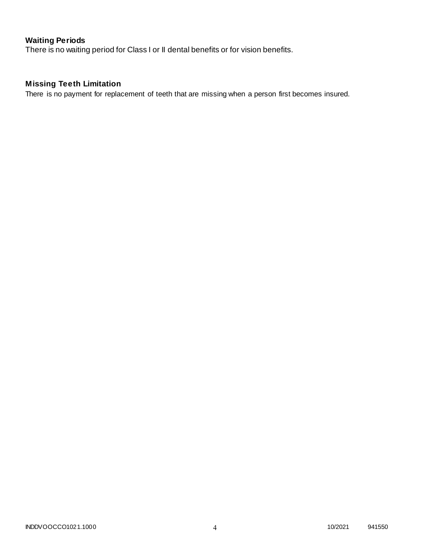# **Waiting Periods**

There is no waiting period for Class I or II dental benefits or for vision benefits.

# **Missing Teeth Limitation**

There is no payment for replacement of teeth that are missing when a person first becomes insured.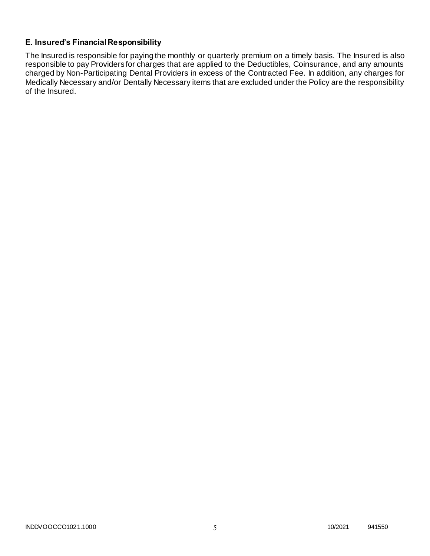# **E. Insured's Financial Responsibility**

The Insured is responsible for paying the monthly or quarterly premium on a timely basis. The Insured is also responsible to pay Providers for charges that are applied to the Deductibles, Coinsurance, and any amounts charged by Non-Participating Dental Providers in excess of the Contracted Fee. In addition, any charges for Medically Necessary and/or Dentally Necessary items that are excluded under the Policy are the responsibility of the Insured.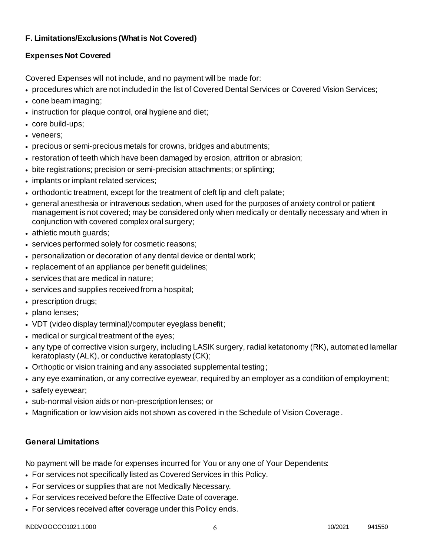# **F. Limitations/Exclusions (What is Not Covered)**

# **Expenses Not Covered**

Covered Expenses will not include, and no payment will be made for:

- procedures which are not included in the list of Covered Dental Services or Covered Vision Services;
- cone beam imaging;
- instruction for plaque control, oral hygiene and diet;
- core build-ups;
- veneers;
- precious or semi-precious metals for crowns, bridges and abutments;
- restoration of teeth which have been damaged by erosion, attrition or abrasion;
- bite registrations; precision or semi-precision attachments; or splinting;
- implants or implant related services;
- orthodontic treatment, except for the treatment of cleft lip and cleft palate;
- general anesthesia or intravenous sedation, when used for the purposes of anxiety control or patient management is not covered; may be considered only when medically or dentally necessary and when in conjunction with covered complex oral surgery;
- athletic mouth guards;
- services performed solely for cosmetic reasons;
- personalization or decoration of any dental device or dental work;
- replacement of an appliance per benefit quidelines;
- services that are medical in nature;
- services and supplies received from a hospital;
- prescription drugs;
- plano lenses;
- VDT (video display terminal)/computer eyeglass benefit;
- medical or surgical treatment of the eyes;
- any type of corrective vision surgery, including LASIK surgery, radial ketatonomy (RK), automated lamellar keratoplasty (ALK), or conductive keratoplasty (CK);
- Orthoptic or vision training and any associated supplemental testing;
- any eye examination, or any corrective eyewear, required by an employer as a condition of employment;
- safety eyewear;
- sub-normal vision aids or non-prescription lenses; or
- Magnification or low vision aids not shown as covered in the Schedule of Vision Coverage.

# **General Limitations**

No payment will be made for expenses incurred for You or any one of Your Dependents:

- For services not specifically listed as Covered Services in this Policy.
- For services or supplies that are not Medically Necessary.
- For services received before the Effective Date of coverage.
- For services received after coverage under this Policy ends.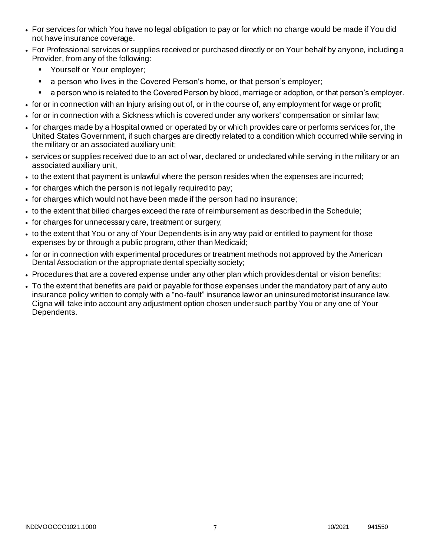- For services for which You have no legal obligation to pay or for which no charge would be made if You did not have insurance coverage.
- For Professional services or supplies received or purchased directly or on Your behalf by anyone, including a Provider, from any of the following:
	- **Yourself or Your employer;**
	- **a** person who lives in the Covered Person's home, or that person's employer;
	- a person who is related to the Covered Person by blood, marriage or adoption, or that person's employer.
- for or in connection with an Injury arising out of, or in the course of, any employment for wage or profit;
- for or in connection with a Sickness which is covered under any workers' compensation or similar law;
- for charges made by a Hospital owned or operated by or which provides care or performs services for, the United States Government, if such charges are directly related to a condition which occurred while serving in the military or an associated auxiliary unit;
- services or supplies received due to an act of war, declared or undeclared while serving in the military or an associated auxiliary unit,
- to the extent that payment is unlawful where the person resides when the expenses are incurred;
- for charges which the person is not legally required to pay;
- for charges which would not have been made if the person had no insurance;
- to the extent that billed charges exceed the rate of reimbursement as described in the Schedule;
- for charges for unnecessary care, treatment or surgery;
- to the extent that You or any of Your Dependents is in any way paid or entitled to payment for those expenses by or through a public program, other than Medicaid;
- for or in connection with experimental procedures or treatment methods not approved by the American Dental Association or the appropriate dental specialty society;
- Procedures that are a covered expense under any other plan which provides dental or vision benefits;
- To the extent that benefits are paid or payable for those expenses under the mandatory part of any auto insurance policy written to comply with a "no-fault" insurance law or an uninsured motorist insurance law. Cigna will take into account any adjustment option chosen under such part by You or any one of Your Dependents.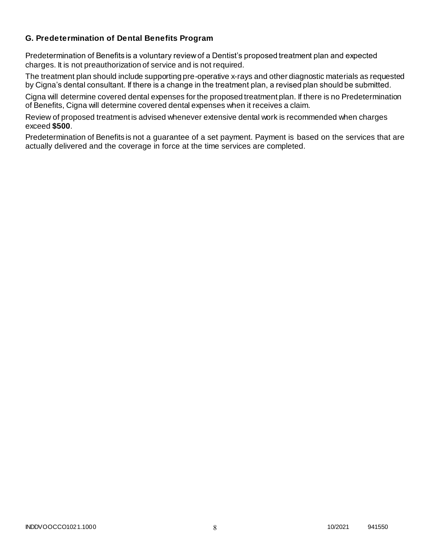### **G. Predetermination of Dental Benefits Program**

Predetermination of Benefits is a voluntary review of a Dentist's proposed treatment plan and expected charges. It is not preauthorization of service and is not required.

The treatment plan should include supporting pre-operative x-rays and other diagnostic materials as requested by Cigna's dental consultant. If there is a change in the treatment plan, a revised plan should be submitted.

Cigna will determine covered dental expenses for the proposed treatment plan. If there is no Predetermination of Benefits, Cigna will determine covered dental expenses when it receives a claim.

Review of proposed treatment is advised whenever extensive dental work is recommended when charges exceed **\$500**.

Predetermination of Benefits is not a guarantee of a set payment. Payment is based on the services that are actually delivered and the coverage in force at the time services are completed.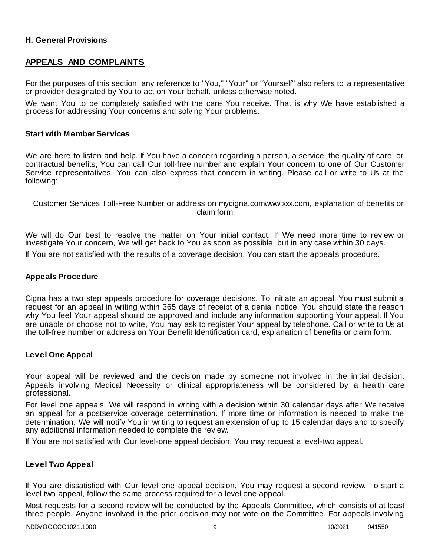### **H. General Provisions**

### **APPEALS AND COMPLAINTS**

For the purposes of this section, any reference to "You," "Your" or "Yourself" also refers to a representative or provider designated by You to act on Your behalf, unless otherwise noted.

We want You to be completely satisfied with the care You receive. That is why We have established a process for addressing Your concerns and solving Your problems.

#### **Start with Member Services**

We are here to listen and help. If You have a concern regarding a person, a service, the quality of care, or contractual benefits, You can call Our toll-free number and explain Your concern to one of Our Customer Service representatives. You can also express that concern in writing. Please call or write to Us at the following:

Customer Services Toll-Free Number or address on mycigna.comwww.xxx.com, explanation of benefits or claim form

We will do Our best to resolve the matter on Your initial contact. If We need more time to review or investigate Your concern, We will get back to You as soon as possible, but in any case within 30 days. If You are not satisfied with the results of a coverage decision, You can start the appeals procedure.

#### **Appeals Procedure**

Cigna has a two step appeals procedure for coverage decisions. To initiate an appeal, You must submit a request for an appeal in writing within 365 days of receipt of a denial notice. You should state the reason why You feel Your appeal should be approved and include any information supporting Your appeal. If You are unable or choose not to write, You may ask to register Your appeal by telephone. Call or write to Us at the toll-free number or address on Your Benefit Identification card, explanation of benefits or claim form.

#### **Level One Appeal**

Your appeal will be reviewed and the decision made by someone not involved in the initial decision. Appeals involving Medical Necessity or clinical appropriateness will be considered by a health care professional.

For level one appeals, We will respond in writing with a decision within 30 calendar days after We receive an appeal for a postservice coverage determination. If more time or information is needed to make the determination, We will notify You in writing to request an extension of up to 15 calendar days and to specify any additional information needed to complete the review.

If You are not satisfied with Our level-one appeal decision, You may request a level-two appeal.

#### **Level Two Appeal**

If You are dissatisfied with Our level one appeal decision, You may request a second review. To start a level two appeal, follow the same process required for a level one appeal.

Most requests for a second review will be conducted by the Appeals Committee, which consists of at least three people. Anyone involved in the prior decision may not vote on the Committee. For appeals involving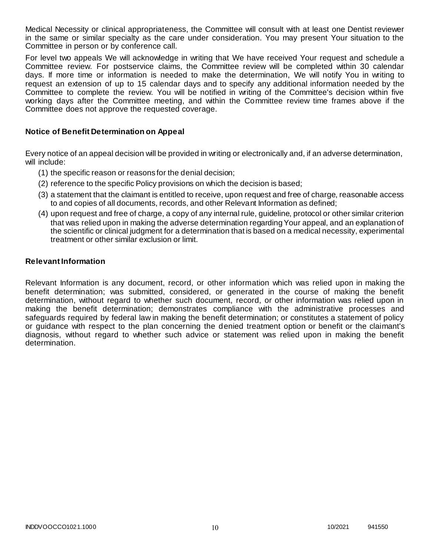Medical Necessity or clinical appropriateness, the Committee will consult with at least one Dentist reviewer in the same or similar specialty as the care under consideration. You may present Your situation to the Committee in person or by conference call.

For level two appeals We will acknowledge in writing that We have received Your request and schedule a Committee review. For postservice claims, the Committee review will be completed within 30 calendar days. If more time or information is needed to make the determination, We will notify You in writing to request an extension of up to 15 calendar days and to specify any additional information needed by the Committee to complete the review. You will be notified in writing of the Committee's decision within five working days after the Committee meeting, and within the Committee review time frames above if the Committee does not approve the requested coverage.

### **Notice of Benefit Determination on Appeal**

Every notice of an appeal decision will be provided in writing or electronically and, if an adverse determination, will include:

- (1) the specific reason or reasons for the denial decision;
- (2) reference to the specific Policy provisions on which the decision is based;
- (3) a statement that the claimant is entitled to receive, upon request and free of charge, reasonable access to and copies of all documents, records, and other Relevant Information as defined;
- (4) upon request and free of charge, a copy of any internal rule, guideline, protocol or other similar criterion that was relied upon in making the adverse determination regarding Your appeal, and an explanation of the scientific or clinical judgment for a determination that is based on a medical necessity, experimental treatment or other similar exclusion or limit.

#### **Relevant Information**

Relevant Information is any document, record, or other information which was relied upon in making the benefit determination; was submitted, considered, or generated in the course of making the benefit determination, without regard to whether such document, record, or other information was relied upon in making the benefit determination; demonstrates compliance with the administrative processes and safeguards required by federal law in making the benefit determination; or constitutes a statement of policy or guidance with respect to the plan concerning the denied treatment option or benefit or the claimant's diagnosis, without regard to whether such advice or statement was relied upon in making the benefit determination.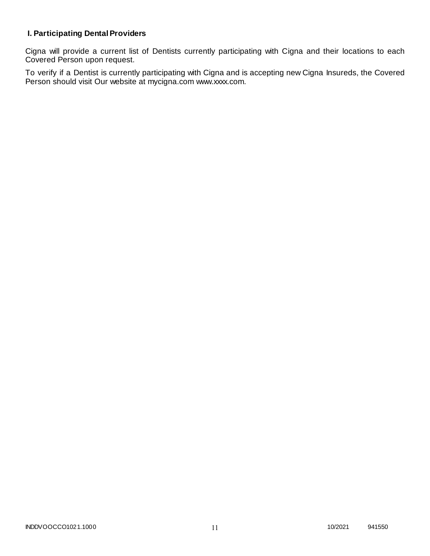# **I. Participating Dental Providers**

Cigna will provide a current list of Dentists currently participating with Cigna and their locations to each Covered Person upon request.

To verify if a Dentist is currently participating with Cigna and is accepting new Cigna Insureds, the Covered Person should visit Our website at mycigna.com www.xxxx.com.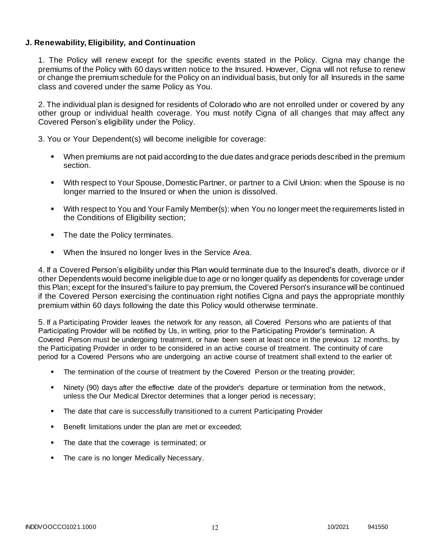### **J. Renewability, Eligibility, and Continuation**

1. The Policy will renew except for the specific events stated in the Policy. Cigna may change the premiums of the Policy with 60 days written notice to the Insured. However, Cigna will not refuse to renew or change the premium schedule for the Policy on an individual basis, but only for all Insureds in the same class and covered under the same Policy as You.

2. The individual plan is designed for residents of Colorado who are not enrolled under or covered by any other group or individual health coverage. You must notify Cigna of all changes that may affect any Covered Person's eligibility under the Policy.

3. You or Your Dependent(s) will become ineligible for coverage:

- When premiums are not paid according to the due dates and grace periods described in the premium section.
- With respect to Your Spouse, Domestic Partner, or partner to a Civil Union: when the Spouse is no longer married to the Insured or when the union is dissolved.
- With respect to You and Your Family Member(s): when You no longer meet the requirements listed in the Conditions of Eligibility section;
- The date the Policy terminates.
- **When the Insured no longer lives in the Service Area.**

4. If a Covered Person's eligibility under this Plan would terminate due to the Insured's death, divorce or if other Dependents would become ineligible due to age or no longer qualify as dependents for coverage under this Plan; except for the Insured's failure to pay premium, the Covered Person's insurance will be continued if the Covered Person exercising the continuation right notifies Cigna and pays the appropriate monthly premium within 60 days following the date this Policy would otherwise terminate.

5. If a Participating Provider leaves the network for any reason, all Covered Persons who are patients of that Participating Provider will be notified by Us, in writing, prior to the Participating Provider's termination. A Covered Person must be undergoing treatment, or have been seen at least once in the previous 12 months, by the Participating Provider in order to be considered in an active course of treatment. The continuity of care period for a Covered Persons who are undergoing an active course of treatment shall extend to the earlier of:

- **The termination of the course of treatment by the Covered Person or the treating provider;**
- Ninety (90) days after the effective date of the provider's departure or termination from the network, unless the Our Medical Director determines that a longer period is necessary;
- The date that care is successfully transitioned to a current Participating Provider
- Benefit limitations under the plan are met or exceeded;
- The date that the coverage is terminated; or
- The care is no longer Medically Necessary.